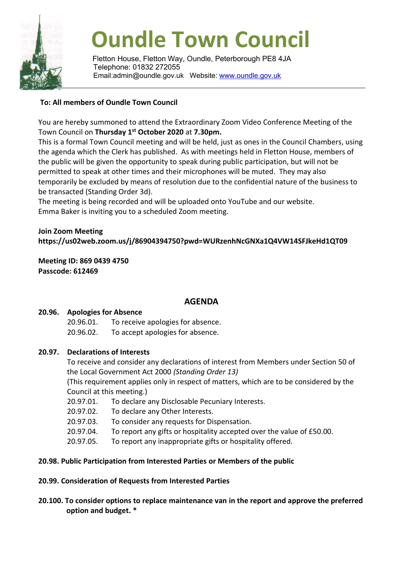

# **Oundle Town Council**

Fletton House, Fletton Way, Oundle, Peterborough PE8 4JA Telephone: 01832 272055 Email:admin@oundle.gov.uk Website: [www.oundle.gov.uk](http://www.oundle.gov.uk/)

### **To: All members of Oundle Town Council**

You are hereby summoned to attend the Extraordinary Zoom Video Conference Meeting of the Town Council on **Thursday 1 st October 2020** at **7.30pm.**

This is a formal Town Council meeting and will be held, just as ones in the Council Chambers, using the agenda which the Clerk has published. As with meetings held in Fletton House, members of the public will be given the opportunity to speak during public participation, but will not be permitted to speak at other times and their microphones will be muted. They may also temporarily be excluded by means of resolution due to the confidential nature of the business to be transacted (Standing Order 3d).

The meeting is being recorded and will be uploaded onto YouTube and our website. Emma Baker is inviting you to a scheduled Zoom meeting.

## **Join Zoom Meeting https://us02web.zoom.us/j/86904394750?pwd=WURzenhNcGNXa1Q4VW14SFJkeHd1QT09**

**Meeting ID: 869 0439 4750 Passcode: 612469**

## **AGENDA**

#### **20.96. Apologies for Absence**

20.96.01. To receive apologies for absence.

20.96.02. To accept apologies for absence.

#### **20.97. Declarations of Interests**

To receive and consider any declarations of interest from Members under Section 50 of the Local Government Act 2000 *(Standing Order 13)*

(This requirement applies only in respect of matters, which are to be considered by the Council at this meeting.)

- 20.97.01. To declare any Disclosable Pecuniary Interests.
- 20.97.02. To declare any Other Interests.
- 20.97.03. To consider any requests for Dispensation.
- 20.97.04. To report any gifts or hospitality accepted over the value of £50.00.
- 20.97.05. To report any inappropriate gifts or hospitality offered.

#### **20.98. Public Participation from Interested Parties or Members of the public**

#### **20.99. Consideration of Requests from Interested Parties**

**20.100. To consider options to replace maintenance van in the report and approve the preferred option and budget. \***